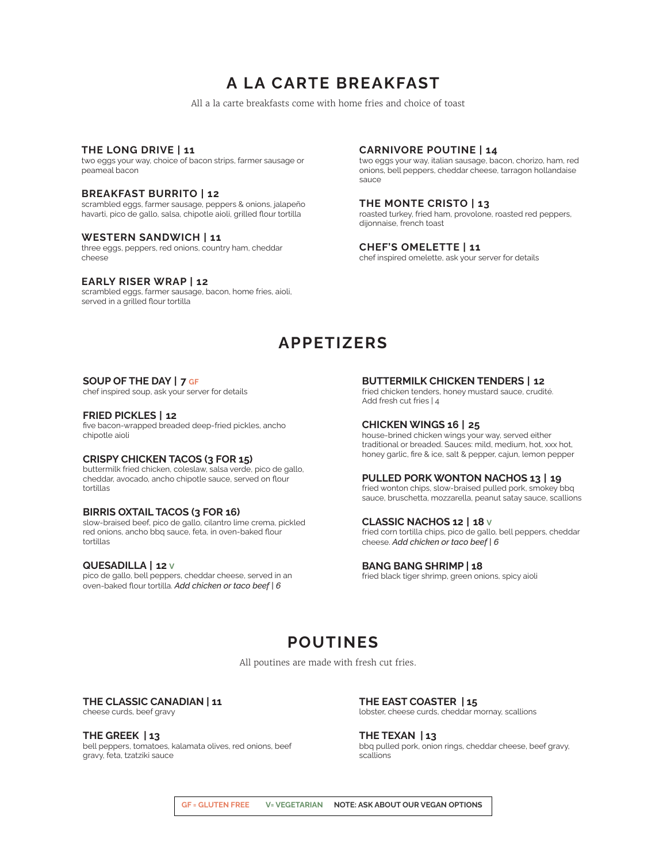# **A LA CARTE BREAKFAST**

All a la carte breakfasts come with home fries and choice of toast

### **THE LONG DRIVE | 11**

two eggs your way, choice of bacon strips, farmer sausage or peameal bacon

### **BREAKFAST BURRITO | 12**

scrambled eggs, farmer sausage, peppers & onions, jalapeño havarti, pico de gallo, salsa, chipotle aioli, grilled flour tortilla

#### **WESTERN SANDWICH | 11**

three eggs, peppers, red onions, country ham, cheddar cheese

### **EARLY RISER WRAP | 12**

scrambled eggs, farmer sausage, bacon, home fries, aioli, served in a grilled flour tortilla

## **CARNIVORE POUTINE | 14**

two eggs your way, italian sausage, bacon, chorizo, ham, red onions, bell peppers, cheddar cheese, tarragon hollandaise sauce

### **THE MONTE CRISTO | 13**

roasted turkey, fried ham, provolone, roasted red peppers, dijonnaise, french toast

### **CHEF'S OMELETTE | 11**

chef inspired omelette, ask your server for details

## **APPETIZERS**

#### **SOUP OF THE DAY | 7 GF**

chef inspired soup, ask your server for details

#### **FRIED PICKLES | 12**

five bacon-wrapped breaded deep-fried pickles, ancho chipotle aioli

#### **CRISPY CHICKEN TACOS (3 FOR 15)**

buttermilk fried chicken, coleslaw, salsa verde, pico de gallo, cheddar, avocado, ancho chipotle sauce, served on flour tortillas

### **BIRRIS OXTAIL TACOS (3 FOR 16)**

slow-braised beef, pico de gallo, cilantro lime crema, pickled red onions, ancho bbq sauce, feta, in oven-baked flour tortillas

### **QUESADILLA | 12 V**

pico de gallo, bell peppers, cheddar cheese, served in an oven-baked flour tortilla. *Add chicken or taco beef | 6*

### **BUTTERMILK CHICKEN TENDERS | 12**

fried chicken tenders, honey mustard sauce, crudité. Add fresh cut fries | 4

## **CHICKEN WINGS 16 | 25**

house-brined chicken wings your way, served either traditional or breaded. Sauces: mild, medium, hot, xxx hot, honey garlic, fire & ice, salt & pepper, cajun, lemon pepper

## **PULLED PORK WONTON NACHOS 13 | 19**

fried wonton chips, slow-braised pulled pork, smokey bbq sauce, bruschetta, mozzarella, peanut satay sauce, scallions

### **CLASSIC NACHOS 12 | 18 V**

fried corn tortilla chips, pico de gallo, bell peppers, cheddar cheese. *Add chicken or taco beef | 6*

### **BANG BANG SHRIMP | 18**

fried black tiger shrimp, green onions, spicy aioli

## **POUTINES**

All poutines are made with fresh cut fries.

## **THE CLASSIC CANADIAN | 11**

cheese curds, beef gravy

**THE GREEK | 13** bell peppers, tomatoes, kalamata olives, red onions, beef gravy, feta, tzatziki sauce

**THE EAST COASTER | 15** lobster, cheese curds, cheddar mornay, scallions

**THE TEXAN | 13** bbq pulled pork, onion rings, cheddar cheese, beef gravy, scallions

**GF = GLUTEN FREE V= VEGETARIAN NOTE: ASK ABOUT OUR VEGAN OPTIONS**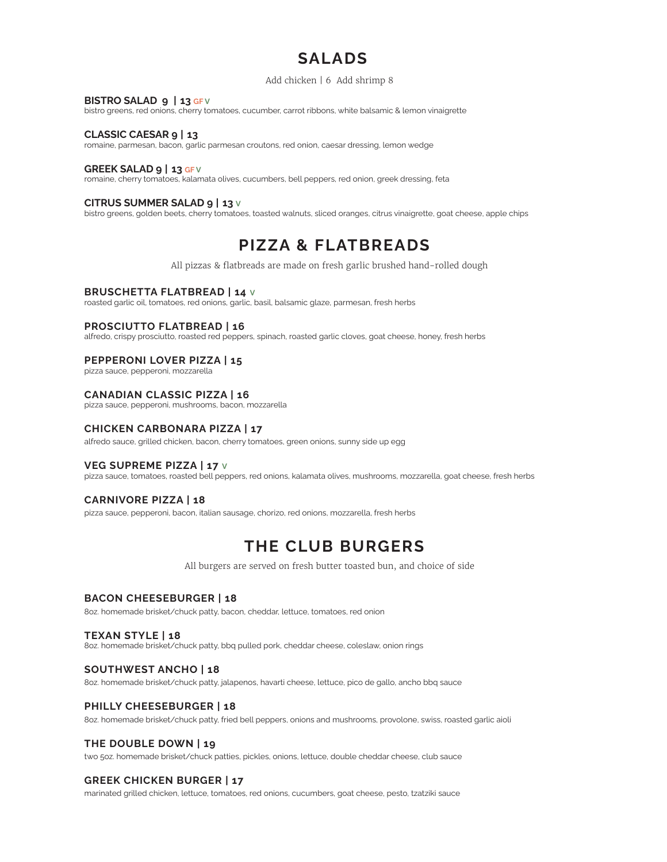# **SALADS**

### Add chicken | 6 Add shrimp 8

### **BISTRO SALAD 9 | 13 GF V**

bistro greens, red onions, cherry tomatoes, cucumber, carrot ribbons, white balsamic & lemon vinaigrette

### **CLASSIC CAESAR 9 | 13**

romaine, parmesan, bacon, garlic parmesan croutons, red onion, caesar dressing, lemon wedge

### **GREEK SALAD 9 | 13 GF V**

romaine, cherry tomatoes, kalamata olives, cucumbers, bell peppers, red onion, greek dressing, feta

### **CITRUS SUMMER SALAD 9 | 13 V**

bistro greens, golden beets, cherry tomatoes, toasted walnuts, sliced oranges, citrus vinaigrette, goat cheese, apple chips

## **PIZZA & FLATBREADS**

All pizzas & flatbreads are made on fresh garlic brushed hand-rolled dough

### **BRUSCHETTA FLATBREAD | 14 V**

roasted garlic oil, tomatoes, red onions, garlic, basil, balsamic glaze, parmesan, fresh herbs

### **PROSCIUTTO FLATBREAD | 16**

alfredo, crispy prosciutto, roasted red peppers, spinach, roasted garlic cloves, goat cheese, honey, fresh herbs

### **PEPPERONI LOVER PIZZA | 15**

pizza sauce, pepperoni, mozzarella

### **CANADIAN CLASSIC PIZZA | 16**

pizza sauce, pepperoni, mushrooms, bacon, mozzarella

### **CHICKEN CARBONARA PIZZA | 17**

alfredo sauce, grilled chicken, bacon, cherry tomatoes, green onions, sunny side up egg

## **VEG SUPREME PIZZA | 17 V**

pizza sauce, tomatoes, roasted bell peppers, red onions, kalamata olives, mushrooms, mozzarella, goat cheese, fresh herbs

### **CARNIVORE PIZZA | 18**

pizza sauce, pepperoni, bacon, italian sausage, chorizo, red onions, mozzarella, fresh herbs

## **THE CLUB BURGERS**

All burgers are served on fresh butter toasted bun, and choice of side

## **BACON CHEESEBURGER | 18**

8oz. homemade brisket/chuck patty, bacon, cheddar, lettuce, tomatoes, red onion

### **TEXAN STYLE | 18**

8oz. homemade brisket/chuck patty, bbq pulled pork, cheddar cheese, coleslaw, onion rings

### **SOUTHWEST ANCHO | 18**

8oz. homemade brisket/chuck patty, jalapenos, havarti cheese, lettuce, pico de gallo, ancho bbq sauce

### **PHILLY CHEESEBURGER | 18**

8oz. homemade brisket/chuck patty, fried bell peppers, onions and mushrooms, provolone, swiss, roasted garlic aioli

## **THE DOUBLE DOWN | 19**

two 5oz. homemade brisket/chuck patties, pickles, onions, lettuce, double cheddar cheese, club sauce

### **GREEK CHICKEN BURGER | 17**

marinated grilled chicken, lettuce, tomatoes, red onions, cucumbers, goat cheese, pesto, tzatziki sauce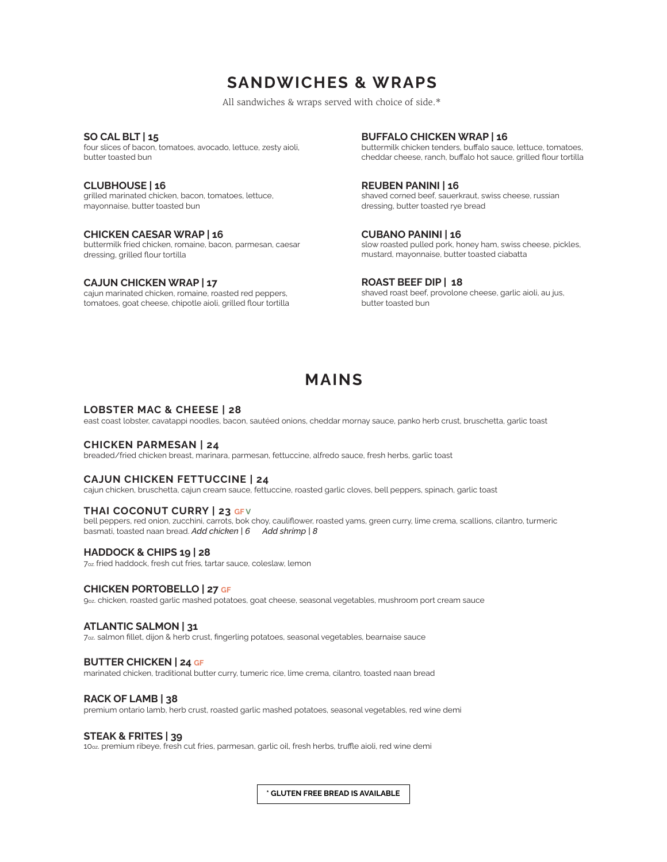## **SANDWICHES & WRAPS**

All sandwiches & wraps served with choice of side.\*

**SO CAL BLT | 15**

four slices of bacon, tomatoes, avocado, lettuce, zesty aioli, butter toasted bun

**CLUBHOUSE | 16** grilled marinated chicken, bacon, tomatoes, lettuce, mayonnaise, butter toasted bun

#### **CHICKEN CAESAR WRAP | 16**

buttermilk fried chicken, romaine, bacon, parmesan, caesar dressing, grilled flour tortilla

#### **CAJUN CHICKEN WRAP | 17**

cajun marinated chicken, romaine, roasted red peppers, tomatoes, goat cheese, chipotle aioli, grilled flour tortilla **BUFFALO CHICKEN WRAP | 16**

buttermilk chicken tenders, buffalo sauce, lettuce, tomatoes, cheddar cheese, ranch, buffalo hot sauce, grilled flour tortilla

### **REUBEN PANINI | 16**

shaved corned beef, sauerkraut, swiss cheese, russian dressing, butter toasted rye bread

**CUBANO PANINI | 16**

slow roasted pulled pork, honey ham, swiss cheese, pickles, mustard, mayonnaise, butter toasted ciabatta

### **ROAST BEEF DIP | 18**

shaved roast beef, provolone cheese, garlic aioli, au jus, butter toasted bun

## **MAINS**

#### **LOBSTER MAC & CHEESE | 28**

east coast lobster, cavatappi noodles, bacon, sautéed onions, cheddar mornay sauce, panko herb crust, bruschetta, garlic toast

#### **CHICKEN PARMESAN | 24**

breaded/fried chicken breast, marinara, parmesan, fettuccine, alfredo sauce, fresh herbs, garlic toast

### **CAJUN CHICKEN FETTUCCINE | 24**

cajun chicken, bruschetta, cajun cream sauce, fettuccine, roasted garlic cloves, bell peppers, spinach, garlic toast

### **THAI COCONUT CURRY | 23 GFV**

bell peppers, red onion, zucchini, carrots, bok choy, cauliflower, roasted yams, green curry, lime crema, scallions, cilantro, turmeric basmati, toasted naan bread. *Add chicken | 6 Add shrimp | 8*

### **HADDOCK & CHIPS 19 | 28**

7oz. fried haddock, fresh cut fries, tartar sauce, coleslaw, lemon

### **CHICKEN PORTOBELLO | 27 GF**

9oz. chicken, roasted garlic mashed potatoes, goat cheese, seasonal vegetables, mushroom port cream sauce

### **ATLANTIC SALMON | 31**

7oz. salmon fillet, dijon & herb crust, fingerling potatoes, seasonal vegetables, bearnaise sauce

### **BUTTER CHICKEN | 24 GF**

marinated chicken, traditional butter curry, tumeric rice, lime crema, cilantro, toasted naan bread

#### **RACK OF LAMB | 38**

premium ontario lamb, herb crust, roasted garlic mashed potatoes, seasonal vegetables, red wine demi

### **STEAK & FRITES | 39**

10oz. premium ribeye, fresh cut fries, parmesan, garlic oil, fresh herbs, truffle aioli, red wine demi

**\* GLUTEN FREE BREAD IS AVAILABLE**